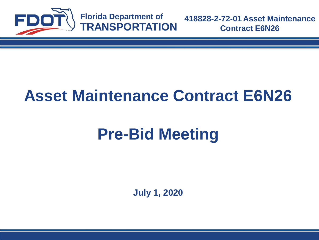

## **Asset Maintenance Contract E6N26**

# **Pre-Bid Meeting**

**July 1, 2020**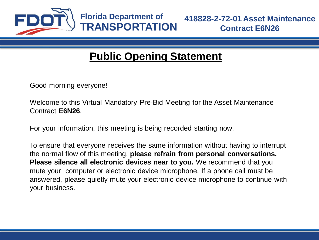

Good morning everyone!

Welcome to this Virtual Mandatory Pre-Bid Meeting for the Asset Maintenance Contract **E6N26**.

For your information, this meeting is being recorded starting now.

To ensure that everyone receives the same information without having to interrupt the normal flow of this meeting, **please refrain from personal conversations. Please silence all electronic devices near to you.** We recommend that you mute your computer or electronic device microphone. If a phone call must be answered, please quietly mute your electronic device microphone to continue with your business.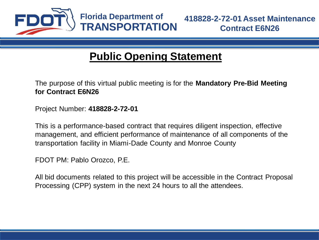

The purpose of this virtual public meeting is for the **Mandatory Pre-Bid Meeting for Contract E6N26**

Project Number: **418828-2-72-01**

This is a performance-based contract that requires diligent inspection, effective management, and efficient performance of maintenance of all components of the transportation facility in Miami-Dade County and Monroe County

FDOT PM: Pablo Orozco, P.E.

All bid documents related to this project will be accessible in the Contract Proposal Processing (CPP) system in the next 24 hours to all the attendees.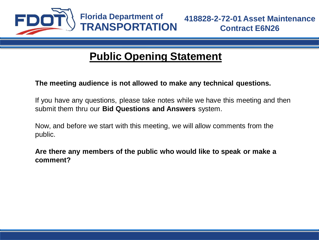

#### **The meeting audience is not allowed to make any technical questions.**

If you have any questions, please take notes while we have this meeting and then submit them thru our **Bid Questions and Answers** system.

Now, and before we start with this meeting, we will allow comments from the public.

**Are there any members of the public who would like to speak or make a comment?**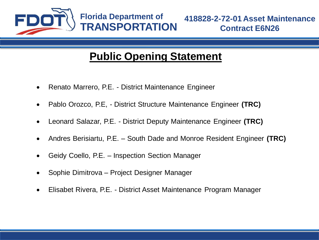

- Renato Marrero, P.E. District Maintenance Engineer
- Pablo Orozco, P.E, District Structure Maintenance Engineer **(TRC)**
- Leonard Salazar, P.E. District Deputy Maintenance Engineer **(TRC)**
- Andres Berisiartu, P.E. South Dade and Monroe Resident Engineer **(TRC)**
- Geidy Coello, P.E. Inspection Section Manager
- Sophie Dimitrova Project Designer Manager
- Elisabet Rivera, P.E. District Asset Maintenance Program Manager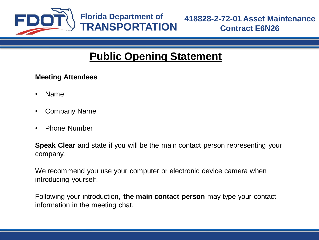

#### **Meeting Attendees**

- Name
- Company Name
- Phone Number

**Speak Clear** and state if you will be the main contact person representing your company.

We recommend you use your computer or electronic device camera when introducing yourself.

Following your introduction, **the main contact person** may type your contact information in the meeting chat.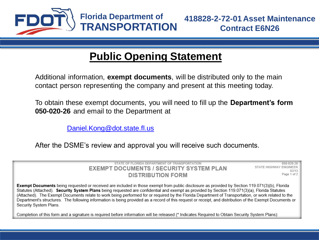

Additional information, **exempt documents**, will be distributed only to the main contact person representing the company and present at this meeting today.

To obtain these exempt documents, you will need to fill up the **Department's form 050-020-26** and email to the Department at

[Daniel.Kong@dot.state.fl.us](mailto:Daniel.Kong@dot.state.fl.us)

After the DSME's review and approval you will receive such documents.

STATE OF FLORIDA DEPARTMENT OF TRANSPORTATION **EXEMPT DOCUMENTS / SECURITY SYSTEM PLAN DISTRIBUTION FORM** 

050-020-26 STATE HIGHWAY ENGINEER  $02/13$ Page 1 of 2

Exempt Documents being requested or received are included in those exempt from public disclosure as provided by Section 119.071(3)(b), Florida Statutes (Attached). Security System Plans being requested are confidential and exempt as provided by Section 119.071(3)(a). Florida Statutes (Attached). The Exempt Documents relate to work being performed for or required by the Florida Department of Transportation, or work related to the Department's structures. The following information is being provided as a record of this request or receipt, and distribution of the Exempt Documents or Security System Plans.

Completion of this form and a signature is required before information will be released (\* Indicates Required to Obtain Security System Plans):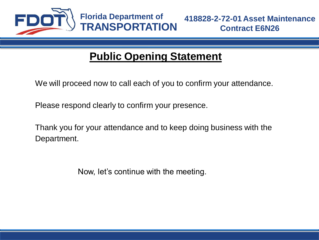

We will proceed now to call each of you to confirm your attendance.

Please respond clearly to confirm your presence.

Thank you for your attendance and to keep doing business with the Department.

Now, let's continue with the meeting.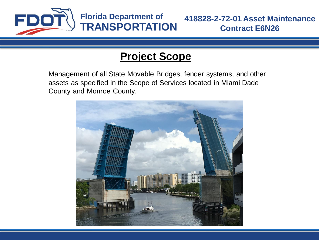

Management of all State Movable Bridges, fender systems, and other assets as specified in the Scope of Services located in Miami Dade County and Monroe County.

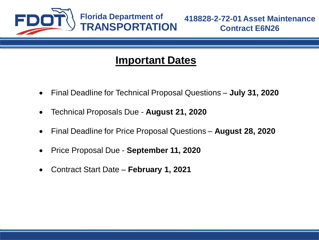

#### **Important Dates**

- Final Deadline for Technical Proposal Questions **July 31, 2020**
- Technical Proposals Due **August 21, 2020**
- Final Deadline for Price Proposal Questions **August 28, 2020**
- Price Proposal Due **September 11, 2020**
- Contract Start Date **February 1, 2021**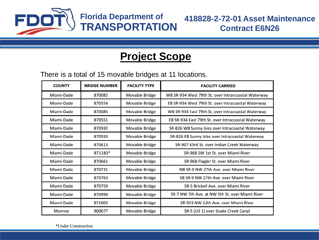

There is a total of 15 movable bridges at 11 locations.

| <b>COUNTY</b> | <b>BRIDGE NUMBER</b> | <b>FACILITY TYPE</b>  | <b>FACILITY CARRIED</b>                             |
|---------------|----------------------|-----------------------|-----------------------------------------------------|
| Miami-Dade    | 870082               | <b>Movable Bridge</b> | WB SR-934 West 79th St. over Intrarcoastal Waterway |
| Miami-Dade    | 870554               | <b>Movable Bridge</b> | EB SR-934 West 79th St. over Intracoastal Waterway  |
| Miami-Dade    | 870085               | <b>Movable Bridge</b> | WB SR-934 East 79th St. over Intracoastal Waterway  |
| Miami-Dade    | 870551               | <b>Movable Bridge</b> | EB SR-934 East 79th St. over Intracoastal Waterway  |
| Miami-Dade    | 870592               | <b>Movable Bridge</b> | SR-826 WB Sunny Isles over Intracoastal Waterway    |
| Miami-Dade    | 870593               | <b>Movable Bridge</b> | SR-826 EB Sunny Isles over Intracoastal Waterway    |
| Miami-Dade    | 870613               | <b>Movable Bridge</b> | SR-907 63rd St. over Indian Creek Waterway          |
| Miami-Dade    | 871183*              | <b>Movable Bridge</b> | SR-968 SW 1st St. over Miami River                  |
| Miami-Dade    | 870661               | <b>Movable Bridge</b> | SR-968 Flagler St. over Miami River                 |
| Miami-Dade    | 870731               | <b>Movable Bridge</b> | NB SR-9 NW 27th Ave. over Miami River               |
| Miami-Dade    | 870763               | <b>Movable Bridge</b> | SB SR-9 NW 27th Ave. over Miami River               |
| Miami-Dade    | 870759               | <b>Movable Bridge</b> | <b>SR-5 Brickell Ave. over Miami River</b>          |
| Miami-Dade    | 870990               | <b>Movable Bridge</b> | SR-7 NW 7th Ave. at NW 5th St. over Miami River     |
| Miami-Dade    | 871005               | <b>Movable Bridge</b> | SR-933 NW 12th Ave. over Miami River                |
| <b>Monroe</b> | 900077               | <b>Movable Bridge</b> | SR-5 (US 1) over Snake Creek Canal                  |

\*Under Construction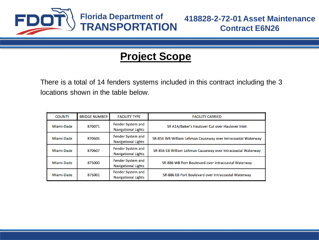

There is a total of 14 fenders systems included in this contract including the 3 locations shown in the table below.

| <b>COUNTY</b> | <b>BRIDGE NUMBER</b> | <b>FACILITY TYPE</b>                            | <b>FACILITY CARRIED</b>                                      |
|---------------|----------------------|-------------------------------------------------|--------------------------------------------------------------|
| Miami-Dade    | 870071               | Fender System and<br><b>Navigational Lights</b> | SR A1A/Baker's Haulover Cut over Haulover Inlet              |
| Miami-Dade    | 870606               | Fender System and<br><b>Navigational Lights</b> | SR-856 WB William Lehman Causeway over Intracoastal Waterway |
| Miami-Dade    | 870607               | Fender System and<br><b>Navigational Lights</b> | SR-856 EB William Lehman Causeway over Intracoastal Waterway |
| Miami-Dade    | 875000               | Fender System and<br><b>Navigational Lights</b> | SR-886 WB Port Boulevard over Intracoastal Waterway          |
| Miami-Dade    | 875001               | Fender System and<br><b>Navigational Lights</b> | SR-886 EB Port Boulevard over Intracoastal Waterway          |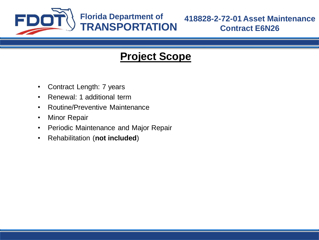

- Contract Length: 7 years
- Renewal: 1 additional term
- Routine/Preventive Maintenance
- Minor Repair
- Periodic Maintenance and Major Repair
- Rehabilitation (**not included**)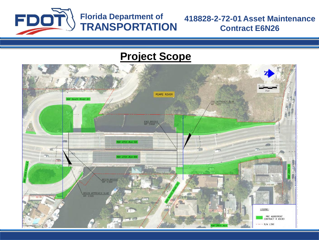

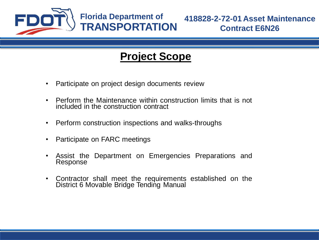

- Participate on project design documents review
- Perform the Maintenance within construction limits that is not included in the construction contract
- Perform construction inspections and walks-throughs
- Participate on FARC meetings
- Assist the Department on Emergencies Preparations and Response
- Contractor shall meet the requirements established on the District 6 Movable Bridge Tending Manual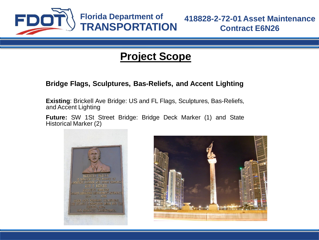

#### **Bridge Flags, Sculptures, Bas-Reliefs, and Accent Lighting**

**Existing**: Brickell Ave Bridge: US and FL Flags, Sculptures, Bas-Reliefs, and Accent Lighting

**Future:** SW 1St Street Bridge: Bridge Deck Marker (1) and State Historical Marker (2)



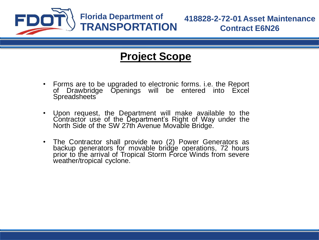

- Forms are to be upgraded to electronic forms. i.e. the Report of Drawbridge Openings will be entered into Excel Spreadsheets
- Upon request, the Department will make available to the Contractor use of the Department's Right of Way under the North Side of the SW 27th Avenue Movable Bridge.
- The Contractor shall provide two (2) Power Generators as backup generators for movable bridge operations, 72 hours prior to the arrival of Tropical Storm Force Winds from severe weather/tropical cyclone.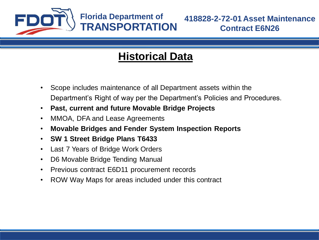

### **Historical Data**

- Scope includes maintenance of all Department assets within the Department's Right of way per the Department's Policies and Procedures.
- **Past, current and future Movable Bridge Projects**
- MMOA, DFA and Lease Agreements
- **Movable Bridges and Fender System Inspection Reports**
- **SW 1 Street Bridge Plans T6433**
- Last 7 Years of Bridge Work Orders
- D6 Movable Bridge Tending Manual
- Previous contract E6D11 procurement records
- ROW Way Maps for areas included under this contract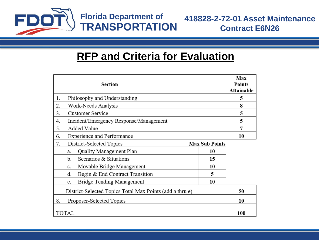

#### **RFP and Criteria for Evaluation**

| Section                                                  |    |  |  |
|----------------------------------------------------------|----|--|--|
| Philosophy and Understanding<br>1.                       | 5  |  |  |
| 2.<br>Work-Needs Analysis                                |    |  |  |
| <b>Customer Service</b><br>3.                            |    |  |  |
| Incident/Emergency Response/Management<br>4.             |    |  |  |
| <b>Added Value</b><br>5.                                 | 7  |  |  |
| <b>Experience and Performance</b><br>6.                  |    |  |  |
| District-Selected Topics<br><b>Max Sub Points</b><br>7.  |    |  |  |
| Quality Management Plan<br>10<br>a.                      |    |  |  |
| Scenarios & Situations<br>b.<br>15                       |    |  |  |
| Movable Bridge Management<br>10<br>c.                    |    |  |  |
| 5<br>d.<br>Begin & End Contract Transition               |    |  |  |
| Bridge Tending Management<br>10<br>e.                    |    |  |  |
| District-Selected Topics Total Max Points (add a thru e) | 50 |  |  |
| 8.<br>Proposer-Selected Topics                           |    |  |  |
| TOTAL                                                    |    |  |  |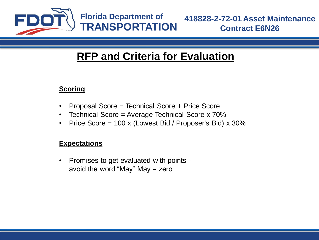

### **RFP and Criteria for Evaluation**

#### **Scoring**

- Proposal Score = Technical Score + Price Score
- Technical Score = Average Technical Score x 70%
- Price Score = 100 x (Lowest Bid / Proposer's Bid) x 30%

#### **Expectations**

• Promises to get evaluated with points avoid the word "May" May = zero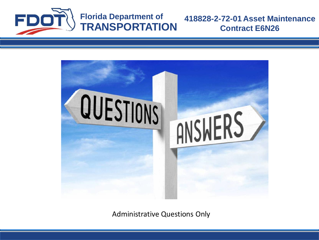



Administrative Questions Only